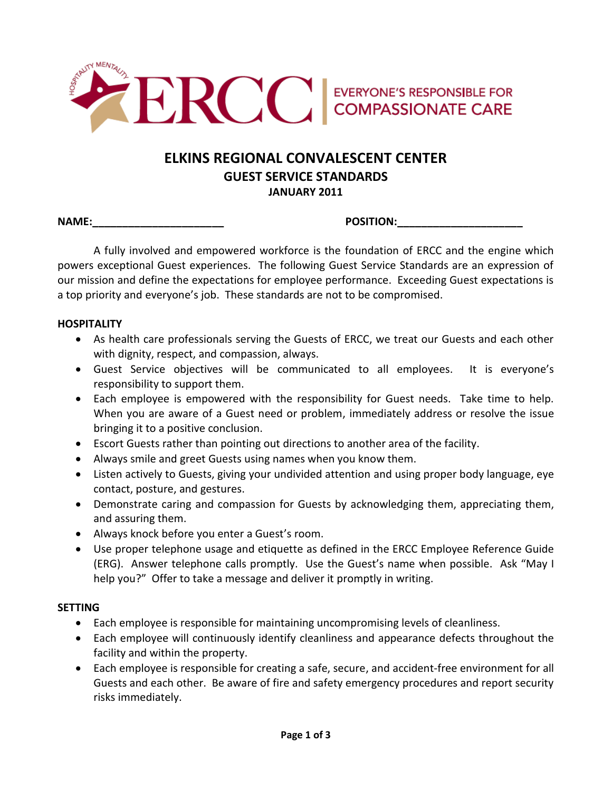

# **ELKINS%REGIONAL%CONVALESCENT%CENTER GUEST SERVICE STANDARDS JANUARY%2011**

**NAME:\_\_\_\_\_\_\_\_\_\_\_\_\_\_\_\_\_\_\_\_\_\_ POSITION:\_\_\_\_\_\_\_\_\_\_\_\_\_\_\_\_\_\_\_\_\_**

A fully involved and empowered workforce is the foundation of ERCC and the engine which powers exceptional Guest experiences. The following Guest Service Standards are an expression of our mission and define the expectations for employee performance. Exceeding Guest expectations is a top priority and everyone's job. These standards are not to be compromised.

# **HOSPITALITY**

- As health care professionals serving the Guests of ERCC, we treat our Guests and each other with dignity, respect, and compassion, always.
- Guest Service objectives will be communicated to all employees. It is everyone's responsibility to support them.
- Each employee is empowered with the responsibility for Guest needs. Take time to help. When you are aware of a Guest need or problem, immediately address or resolve the issue bringing it to a positive conclusion.
- Escort Guests rather than pointing out directions to another area of the facility.
- Always smile and greet Guests using names when you know them.
- Listen actively to Guests, giving your undivided attention and using proper body language, eye contact, posture, and gestures.
- Demonstrate caring and compassion for Guests by acknowledging them, appreciating them, and assuring them.
- Always knock before you enter a Guest's room.
- Use proper telephone usage and etiquette as defined in the ERCC Employee Reference Guide (ERG). Answer telephone calls promptly. Use the Guest's name when possible. Ask "May I help you?" Offer to take a message and deliver it promptly in writing.

# **SETTING**

- Each employee is responsible for maintaining uncompromising levels of cleanliness.
- Each employee will continuously identify cleanliness and appearance defects throughout the facility and within the property.
- Each employee is responsible for creating a safe, secure, and accident-free environment for all Guests and each other. Be aware of fire and safety emergency procedures and report security risks immediately.